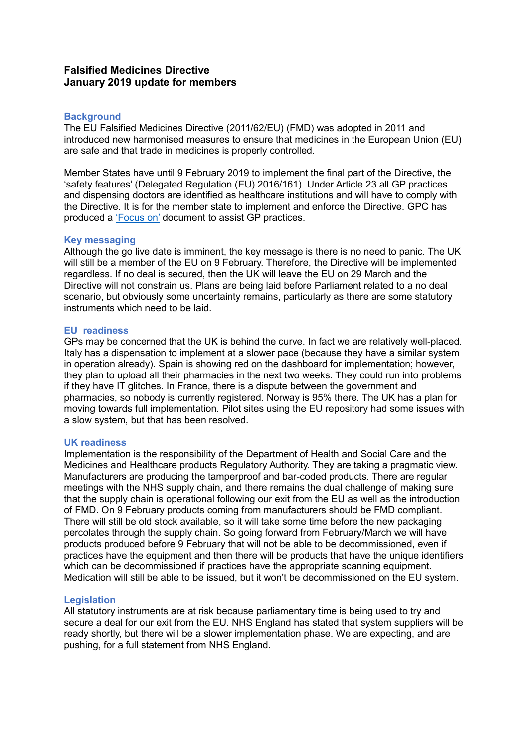# **Falsified Medicines Directive January 2019 update for members**

# **Background**

The EU Falsified Medicines Directive (2011/62/EU) (FMD) was adopted in 2011 and introduced new harmonised measures to ensure that medicines in the European Union (EU) are safe and that trade in medicines is properly controlled.

Member States have until 9 February 2019 to implement the final part of the Directive, the 'safety features' (Delegated Regulation (EU) 2016/161). Under Article 23 all GP practices and dispensing doctors are identified as healthcare institutions and will have to comply with the Directive. It is for the member state to implement and enforce the Directive. GPC has produced a ['Focus on'](https://www.bma.org.uk/advice/employment/gp-practices/service-provision/falsified-medicines-directive) document to assist GP practices.

# **Key messaging**

Although the go live date is imminent, the key message is there is no need to panic. The UK will still be a member of the EU on 9 February. Therefore, the Directive will be implemented regardless. If no deal is secured, then the UK will leave the EU on 29 March and the Directive will not constrain us. Plans are being laid before Parliament related to a no deal scenario, but obviously some uncertainty remains, particularly as there are some statutory instruments which need to be laid.

# **EU readiness**

GPs may be concerned that the UK is behind the curve. In fact we are relatively well-placed. Italy has a dispensation to implement at a slower pace (because they have a similar system in operation already). Spain is showing red on the dashboard for implementation; however, they plan to upload all their pharmacies in the next two weeks. They could run into problems if they have IT glitches. In France, there is a dispute between the government and pharmacies, so nobody is currently registered. Norway is 95% there. The UK has a plan for moving towards full implementation. Pilot sites using the EU repository had some issues with a slow system, but that has been resolved.

#### **UK readiness**

Implementation is the responsibility of the Department of Health and Social Care and the Medicines and Healthcare products Regulatory Authority. They are taking a pragmatic view. Manufacturers are producing the tamperproof and bar-coded products. There are regular meetings with the NHS supply chain, and there remains the dual challenge of making sure that the supply chain is operational following our exit from the EU as well as the introduction of FMD. On 9 February products coming from manufacturers should be FMD compliant. There will still be old stock available, so it will take some time before the new packaging percolates through the supply chain. So going forward from February/March we will have products produced before 9 February that will not be able to be decommissioned, even if practices have the equipment and then there will be products that have the unique identifiers which can be decommissioned if practices have the appropriate scanning equipment. Medication will still be able to be issued, but it won't be decommissioned on the EU system.

# **Legislation**

All statutory instruments are at risk because parliamentary time is being used to try and secure a deal for our exit from the EU. NHS England has stated that system suppliers will be ready shortly, but there will be a slower implementation phase. We are expecting, and are pushing, for a full statement from NHS England.